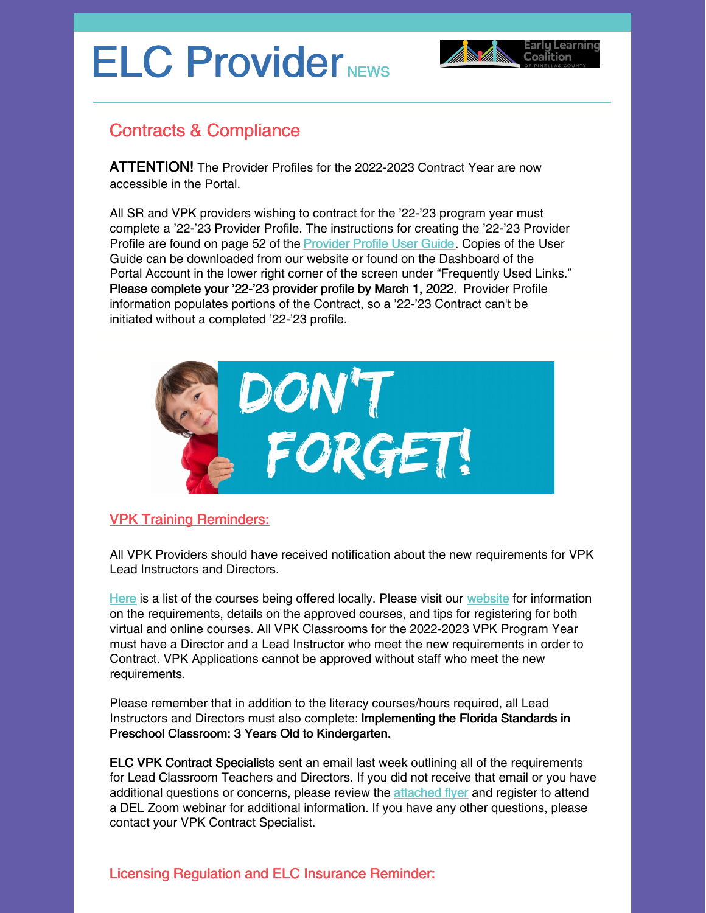# ELC Provider NEWS



## Contracts & Compliance

ATTENTION! The Provider Profiles for the 2022-2023 Contract Year are now accessible in the Portal.

All SR and VPK providers wishing to contract for the '22-'23 program year must complete a '22-'23 Provider Profile. The instructions for creating the '22-'23 Provider Profile are found on page 52 of the [Provider](https://elcpinellas.net/wp-content/uploads/2021/11/Provider_Portal_User_Guide_102821.pdf) Profile User Guide. Copies of the User Guide can be downloaded from our website or found on the Dashboard of the Portal Account in the lower right corner of the screen under "Frequently Used Links." Please complete your '22-'23 provider profile by March 1, 2022. Provider Profile information populates portions of the Contract, so a '22-'23 Contract can't be initiated without a completed '22-'23 profile.



#### VPK Training Reminders:

All VPK Providers should have received notification about the new requirements for VPK Lead Instructors and Directors.

[Here](https://elcpinellas.net/wp-content/uploads/2020/10/Pinellas-VPK-Literacy-Trainings.pdf) is a list of the courses being offered locally. Please visit our [website](https://elcpinellas.net/for-providers/) for information on the requirements, details on the approved courses, and tips for registering for both virtual and online courses. All VPK Classrooms for the 2022-2023 VPK Program Year must have a Director and a Lead Instructor who meet the new requirements in order to Contract. VPK Applications cannot be approved without staff who meet the new requirements.

Please remember that in addition to the literacy courses/hours required, all Lead Instructors and Directors must also complete: Implementing the Florida Standards in Preschool Classroom: 3 Years Old to Kindergarten.

ELC VPK Contract Specialists sent an email last week outlining all of the requirements for Lead Classroom Teachers and Directors. If you did not receive that email or you have additional questions or concerns, please review the [attached](https://files.constantcontact.com/a59e861e101/0bacbaef-1e6d-48e1-82ff-1df7addf45b1.pdf?rdr=true) flyer and register to attend a DEL Zoom webinar for additional information. If you have any other questions, please contact your VPK Contract Specialist.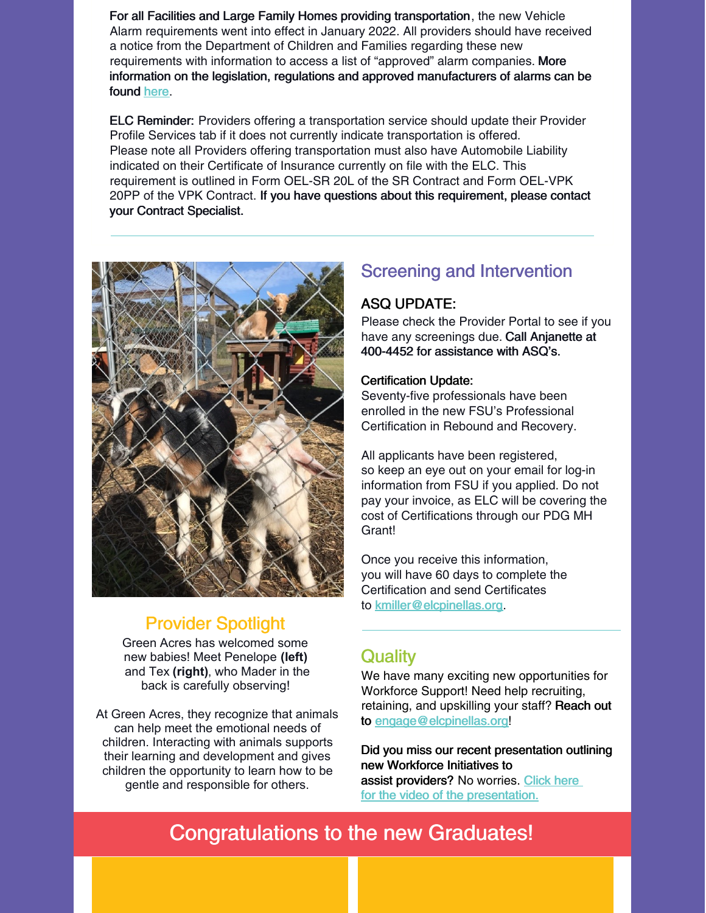For all Facilities and Large Family Homes providing transportation, the new Vehicle Alarm requirements went into effect in January 2022. All providers should have received a notice from the Department of Children and Families regarding these new requirements with information to access a list of "approved" alarm companies. More information on the legislation, regulations and approved manufacturers of alarms can be found [here](https://www.myflfamilies.com/service-programs/child-care/child-care-alarms/).

ELC Reminder: Providers offering a transportation service should update their Provider Profile Services tab if it does not currently indicate transportation is offered. Please note all Providers offering transportation must also have Automobile Liability indicated on their Certificate of Insurance currently on file with the ELC. This requirement is outlined in Form OEL-SR 20L of the SR Contract and Form OEL-VPK 20PP of the VPK Contract. If you have questions about this requirement, please contact your Contract Specialist.



## Provider Spotlight

Green Acres has welcomed some new babies! Meet Penelope **(left)** and Tex **(right)**, who Mader in the back is carefully observing!

At Green Acres, they recognize that animals can help meet the emotional needs of children. Interacting with animals supports their learning and development and gives children the opportunity to learn how to be gentle and responsible for others.

## Screening and Intervention

#### ASQ UPDATE:

Please check the Provider Portal to see if you have any screenings due. Call Anjanette at 400-4452 for assistance with ASQ's.

#### Certification Update:

Seventy-five professionals have been enrolled in the new FSU's Professional Certification in Rebound and Recovery.

All applicants have been registered, so keep an eye out on your email for log-in information from FSU if you applied. Do not pay your invoice, as ELC will be covering the cost of Certifications through our PDG MH Grant!

Once you receive this information, you will have 60 days to complete the Certification and send Certificates to [kmiller@elcpinellas.org](mailto:kmiller@elcpinellas.org).

### **Quality**

We have many exciting new opportunities for Workforce Support! Need help recruiting, retaining, and upskilling your staff? Reach out to [engage@elcpinellas.org!](mailto:engage@elcpinellas.org)

Did you miss our recent presentation outlining new Workforce Initiatives to

assist providers? No worries. [Click](https://youtu.be/tsuShRuDOg8) here for the video of the [presentation.](https://youtu.be/tsuShRuDOg8)

# Congratulations to the new Graduates!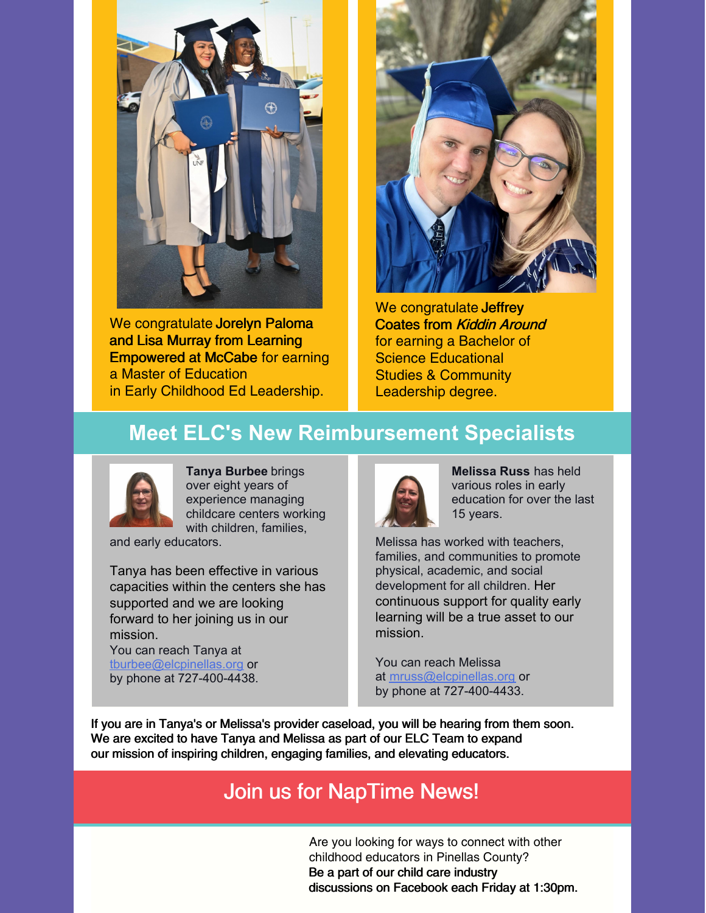

We congratulate Jorelyn Paloma and Lisa Murray from Learning Empowered at McCabe for earning a Master of Education in Early Childhood Ed Leadership.



We congratulate Jeffrey Coates from Kiddin Around for earning a Bachelor of Science Educational Studies & Community Leadership degree.

# **Meet ELC's New Reimbursement Specialists**



**Tanya Burbee** brings over eight years of experience managing childcare centers working with children, families,

and early educators.

Tanya has been effective in various capacities within the centers she has supported and we are looking forward to her joining us in our mission.

You can reach Tanya at [tburbee@elcpinellas.org](https://mail.elcpinellas.net/owa/redir.aspx?C=Kb07-doImtgcKOVHwfLLpFQiI-5yWDcpf_M2SsxK694gVBf1eOLZCA..&URL=mailto%3atburbee%40elcpinellas.org) or by phone at 727-400-4438.



**Melissa Russ** has held various roles in early education for over the last 15 years.

Melissa has worked with teachers, families, and communities to promote physical, academic, and social development for all children. Her continuous support for quality early learning will be a true asset to our mission.

You can reach Melissa at [mruss@elcpinellas.org](https://mail.elcpinellas.net/owa/redir.aspx?C=N6B_x9PGJLh_L1pLp2eYhZ58vt82kBBlb6I9mfEIW81Gehf1eOLZCA..&URL=mailto%3amruss%40elcpinellas.org) or by phone at 727-400-4433.

If you are in Tanya's or Melissa's provider caseload, you will be hearing from them soon. We are excited to have Tanya and Melissa as part of our ELC Team to expand our mission of inspiring children, engaging families, and elevating educators.

# Join us for NapTime News!

Are you looking for ways to connect with other childhood educators in Pinellas County? Be a part of our child care industry discussions on Facebook each Friday at 1:30pm.